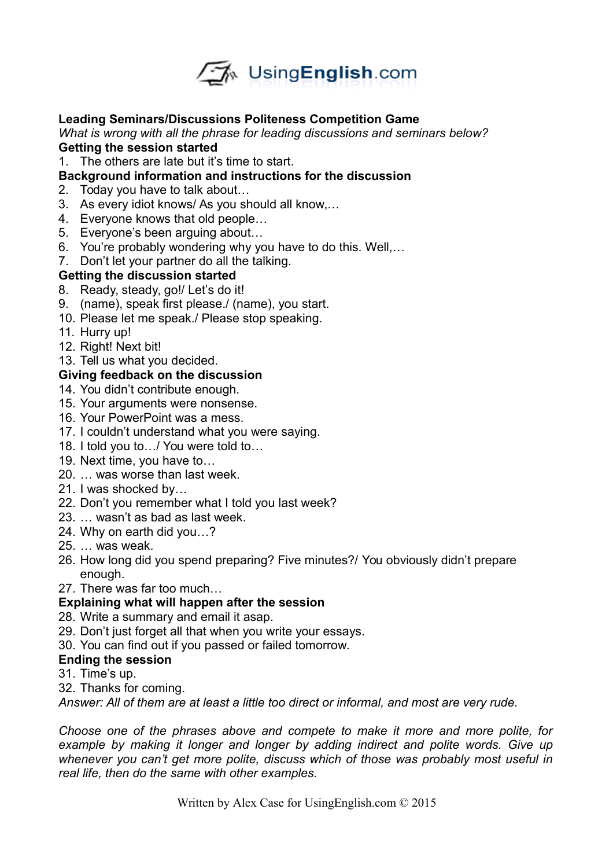

# **Leading Seminars/Discussions Politeness Competition Game**

*What is wrong with all the phrase for leading discussions and seminars below?*  **Getting the session started**

- 1. The others are late but it's time to start.
- **Background information and instructions for the discussion**
- 2. Today you have to talk about…
- 3. As every idiot knows/ As you should all know,…
- 4. Everyone knows that old people…
- 5. Everyone's been arguing about…
- 6. You're probably wondering why you have to do this. Well,…
- 7. Don't let your partner do all the talking.

## **Getting the discussion started**

- 8. Ready, steady, go!/ Let's do it!
- 9. (name), speak first please./ (name), you start.
- 10. Please let me speak./ Please stop speaking.
- 11. Hurry up!
- 12. Right! Next bit!
- 13. Tell us what you decided.

## **Giving feedback on the discussion**

- 14. You didn't contribute enough.
- 15. Your arguments were nonsense.
- 16. Your PowerPoint was a mess.
- 17. I couldn't understand what you were saying.
- 18. I told you to…/ You were told to…
- 19. Next time, you have to…
- 20. … was worse than last week.
- 21. I was shocked by…
- 22. Don't you remember what I told you last week?
- 23. … wasn't as bad as last week.
- 24. Why on earth did you…?
- 25. … was weak.
- 26. How long did you spend preparing? Five minutes?/ You obviously didn't prepare enough.
- 27. There was far too much…

# **Explaining what will happen after the session**

- 28. Write a summary and email it asap.
- 29. Don't just forget all that when you write your essays.
- 30. You can find out if you passed or failed tomorrow.

### **Ending the session**

- 31. Time's up.
- 32. Thanks for coming.

*Answer: All of them are at least a little too direct or informal, and most are very rude.* 

*Choose one of the phrases above and compete to make it more and more polite, for example by making it longer and longer by adding indirect and polite words. Give up whenever you can't get more polite, discuss which of those was probably most useful in real life, then do the same with other examples.*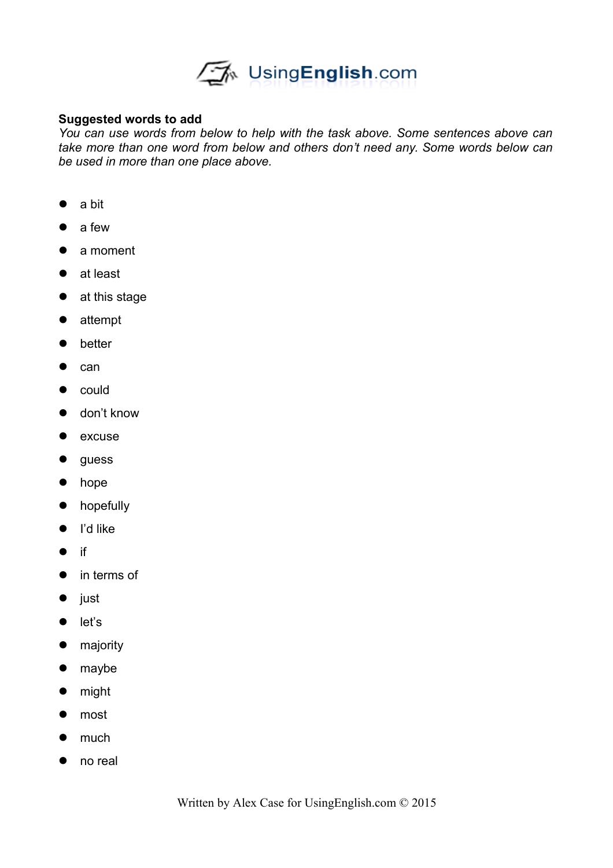

### **Suggested words to add**

*You can use words from below to help with the task above. Some sentences above can take more than one word from below and others don't need any. Some words below can be used in more than one place above.* 

- a bit
- a few
- a moment
- at least
- at this stage
- attempt
- better
- $\bullet$  can
- $\bullet$  could
- don't know
- $\bullet$  excuse
- guess
- hope
- **•** hopefully
- $\bullet$  I'd like
- $\bullet$  if
- in terms of
- $\bullet$  just
- let's
- **•** majority
- maybe
- might
- most
- much
- no real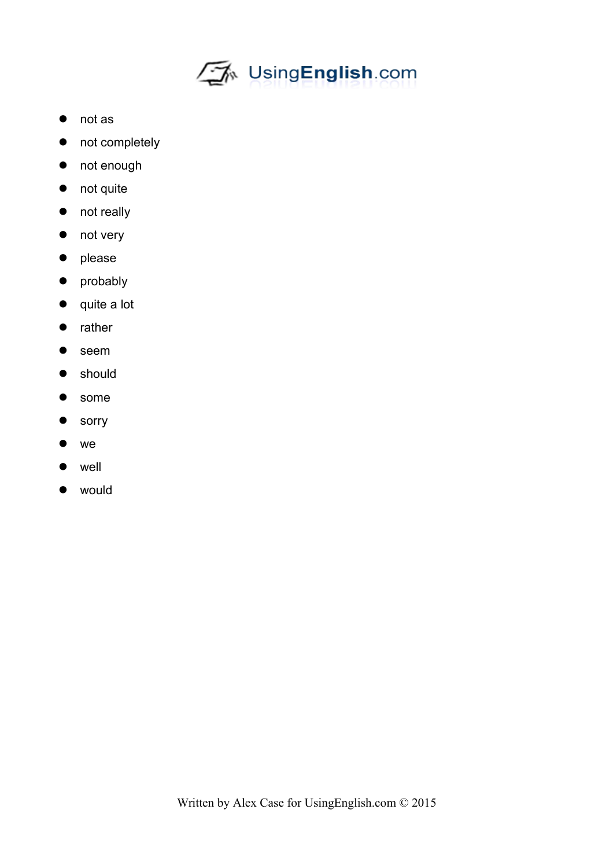

- not as
- not completely
- not enough
- not quite
- not really
- not very
- please
- probably
- quite a lot
- rather
- seem
- **•** should
- some
- **•** sorry
- we
- well
- would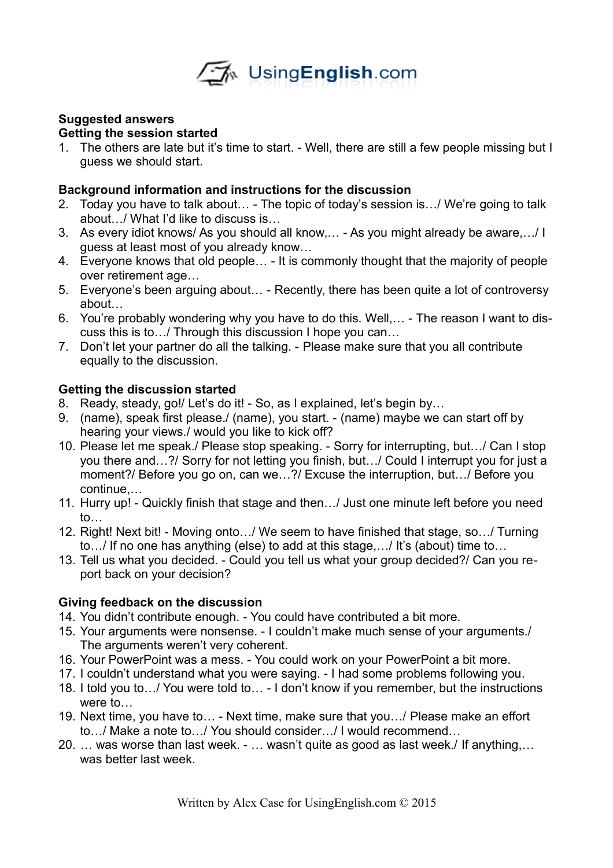

# **Suggested answers**

# **Getting the session started**

1. The others are late but it's time to start. - Well, there are still a few people missing but I guess we should start.

## **Background information and instructions for the discussion**

- 2. Today you have to talk about… The topic of today's session is…/ We're going to talk about…/ What I'd like to discuss is…
- 3. As every idiot knows/ As you should all know,… As you might already be aware,…/ I guess at least most of you already know…
- 4. Everyone knows that old people… It is commonly thought that the majority of people over retirement age…
- 5. Everyone's been arguing about… Recently, there has been quite a lot of controversy about
- 6. You're probably wondering why you have to do this. Well,… The reason I want to discuss this is to…/ Through this discussion I hope you can…
- 7. Don't let your partner do all the talking. Please make sure that you all contribute equally to the discussion.

## **Getting the discussion started**

- 8. Ready, steady, go!/ Let's do it! So, as I explained, let's begin by...
- 9. (name), speak first please./ (name), you start. (name) maybe we can start off by hearing your views./ would you like to kick off?
- 10. Please let me speak./ Please stop speaking. Sorry for interrupting, but…/ Can I stop you there and…?/ Sorry for not letting you finish, but…/ Could I interrupt you for just a moment?/ Before you go on, can we…?/ Excuse the interruption, but…/ Before you continue,…
- 11. Hurry up! Quickly finish that stage and then…/ Just one minute left before you need to…
- 12. Right! Next bit! Moving onto…/ We seem to have finished that stage, so…/ Turning to…/ If no one has anything (else) to add at this stage,…/ It's (about) time to…
- 13. Tell us what you decided. Could you tell us what your group decided?/ Can you report back on your decision?

# **Giving feedback on the discussion**

- 14. You didn't contribute enough. You could have contributed a bit more.
- 15. Your arguments were nonsense. I couldn't make much sense of your arguments./ The arguments weren't very coherent.
- 16. Your PowerPoint was a mess. You could work on your PowerPoint a bit more.
- 17. I couldn't understand what you were saying. I had some problems following you.
- 18. I told you to…/ You were told to… I don't know if you remember, but the instructions were to…
- 19. Next time, you have to… Next time, make sure that you…/ Please make an effort to…/ Make a note to…/ You should consider…/ I would recommend…
- 20. … was worse than last week. … wasn't quite as good as last week./ If anything,… was better last week.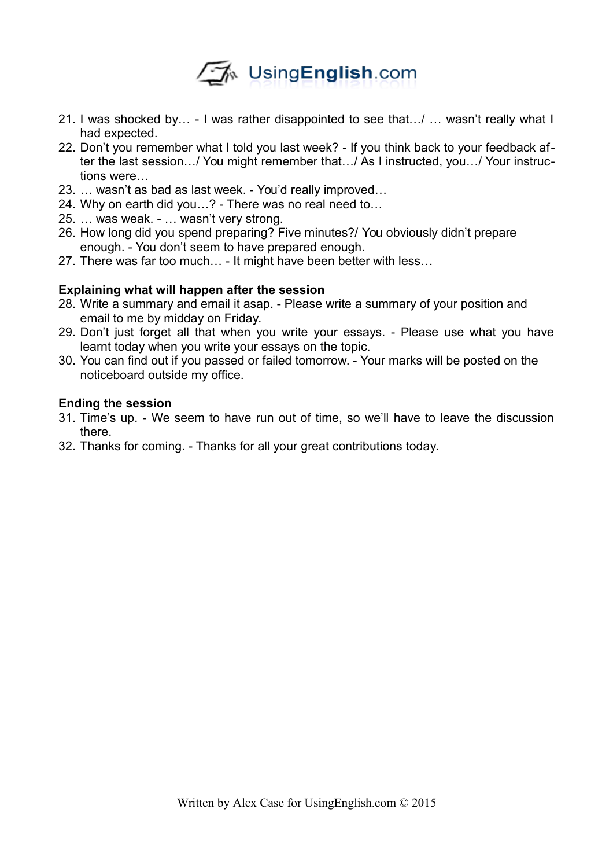

- 21. I was shocked by… I was rather disappointed to see that…/ … wasn't really what I had expected.
- 22. Don't you remember what I told you last week? If you think back to your feedback after the last session…/ You might remember that…/ As I instructed, you…/ Your instructions were…
- 23. … wasn't as bad as last week. You'd really improved…
- 24. Why on earth did you…? There was no real need to…
- 25. … was weak. … wasn't very strong.
- 26. How long did you spend preparing? Five minutes?/ You obviously didn't prepare enough. - You don't seem to have prepared enough.
- 27. There was far too much… It might have been better with less…

### **Explaining what will happen after the session**

- 28. Write a summary and email it asap. Please write a summary of your position and email to me by midday on Friday.
- 29. Don't just forget all that when you write your essays. Please use what you have learnt today when you write your essays on the topic.
- 30. You can find out if you passed or failed tomorrow. Your marks will be posted on the noticeboard outside my office.

### **Ending the session**

- 31. Time's up. We seem to have run out of time, so we'll have to leave the discussion there.
- 32. Thanks for coming. Thanks for all your great contributions today.